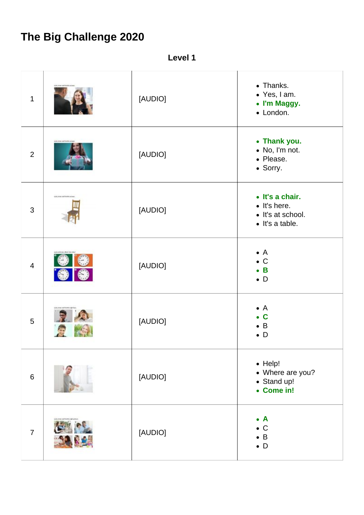## **The Big Challenge 2020**

**Level 1**

| $\mathbf{1}$   |                                 | [AUDIO] | • Thanks.<br>• Yes, I am.<br>• I'm Maggy.<br>• London.                                  |
|----------------|---------------------------------|---------|-----------------------------------------------------------------------------------------|
| $\overline{2}$ | sciel, forms and financial      | [AUDIO] | • Thank you.<br>• No, I'm not.<br>• Please.<br>• Sorry.                                 |
| $\mathfrak{S}$ | sold, follow and thermic extrem | [AUDIO] | • It's a chair.<br>$\bullet$ It's here.<br>• It's at school.<br>$\bullet$ It's a table. |
| $\overline{4}$ |                                 | [AUDIO] | $\bullet$ A<br>$\bullet$ C<br>$\bullet$ B<br>$\bullet$ D                                |
| 5              |                                 | [AUDIO] | $\bullet$ A<br>$\mathbf C$<br>$\bullet$<br>$\bullet$ B<br>$\bullet$ D                   |
| $6\,$          |                                 | [AUDIO] | $\bullet$ Help!<br>• Where are you?<br>• Stand up!<br>• Come in!                        |
| $\overline{7}$ |                                 | [AUDIO] | $\bullet$ A<br>$\bullet$ C<br>$\bullet$ B<br>$\bullet$ D                                |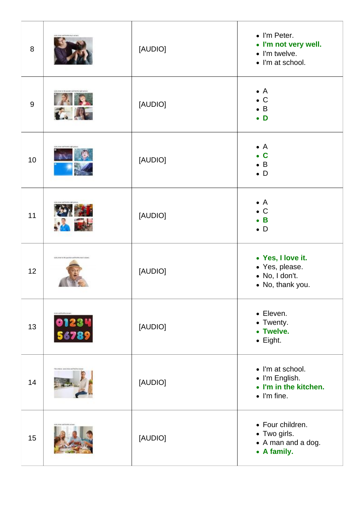| 8  |                                                          | [AUDIO] | • I'm Peter.<br>• I'm not very well.<br>• I'm twelve.<br>• I'm at school.          |
|----|----------------------------------------------------------|---------|------------------------------------------------------------------------------------|
| 9  |                                                          | [AUDIO] | $\bullet$ A<br>$\bullet$ C<br>$\bullet$ B<br>$\bullet$ D                           |
| 10 | call forms and finantine right pit                       | [AUDIO] | $\bullet$ A<br>$\bullet$ C<br>$\bullet$ B<br>$\bullet$ D                           |
| 11 |                                                          | [AUDIO] | $\bullet$ A<br>$\bullet$ C<br>$\bullet$ B<br>$\bullet$ D                           |
| 12 | sold, follow for the question over briefine their traces | [AUDIO] | • Yes, I love it.<br>• Yes, please.<br>• No, I don't.<br>• No, thank you.          |
| 13 | Editional Profit and Security<br>01234<br>56789          | [AUDIO] | • Eleven.<br>• Twenty.<br>• Twelve.<br>$\bullet$ Eight.                            |
| 14 | UREAL EXHCURAL and Sharkan                               | [AUDIO] | • I'm at school.<br>• I'm English.<br>• I'm in the kitchen.<br>$\bullet$ I'm fine. |
| 15 |                                                          | [AUDIO] | • Four children.<br>• Two girls.<br>• A man and a dog.<br>• A family.              |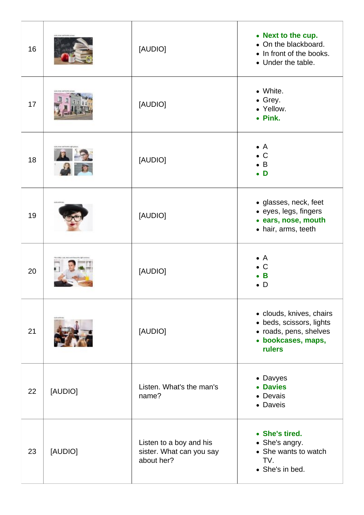| 16 |         | [AUDIO]                                                           | • Next to the cup.<br>• On the blackboard.<br>• In front of the books.<br>• Under the table.                          |
|----|---------|-------------------------------------------------------------------|-----------------------------------------------------------------------------------------------------------------------|
| 17 |         | [AUDIO]                                                           | • White.<br>• Grey.<br>• Yellow.<br>• Pink.                                                                           |
| 18 |         | [AUDIO]                                                           | $\bullet$ A<br>$\bullet$ C<br>$\bullet$ B<br>$\bullet$ D                                                              |
| 19 |         | [AUDIO]                                                           | · glasses, neck, feet<br>• eyes, legs, fingers<br>· ears, nose, mouth<br>• hair, arms, teeth                          |
| 20 |         | [AUDIO]                                                           | $\bullet$ A<br>$\bullet$ C<br>B<br>$\bullet$ D                                                                        |
| 21 |         | [AUDIO]                                                           | • clouds, knives, chairs<br>• beds, scissors, lights<br>• roads, pens, shelves<br>· bookcases, maps,<br><b>rulers</b> |
| 22 | [AUDIO] | Listen. What's the man's<br>name?                                 | • Davyes<br>• Davies<br>• Devais<br>• Daveis                                                                          |
| 23 | [AUDIO] | Listen to a boy and his<br>sister. What can you say<br>about her? | • She's tired.<br>• She's angry.<br>• She wants to watch<br>TV.<br>• She's in bed.                                    |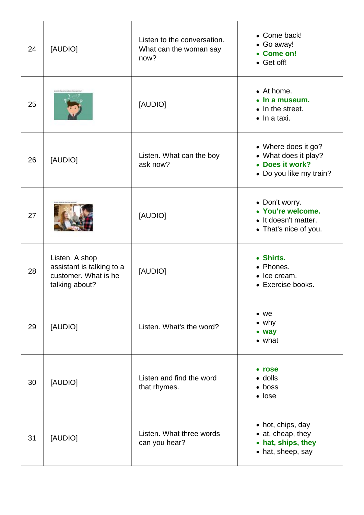| 24 | [AUDIO]                                                                               | Listen to the conversation.<br>What can the woman say<br>now? | • Come back!<br>• Go away!<br>• Come on!<br>• Get off!                                    |
|----|---------------------------------------------------------------------------------------|---------------------------------------------------------------|-------------------------------------------------------------------------------------------|
| 25 |                                                                                       | [AUDIO]                                                       | • At home.<br>$\bullet$ In a museum.<br>• In the street.<br>$\bullet$ In a taxi.          |
| 26 | [AUDIO]                                                                               | Listen. What can the boy<br>ask now?                          | • Where does it go?<br>• What does it play?<br>• Does it work?<br>• Do you like my train? |
| 27 |                                                                                       | [AUDIO]                                                       | • Don't worry.<br>• You're welcome.<br>• It doesn't matter.<br>• That's nice of you.      |
| 28 | Listen. A shop<br>assistant is talking to a<br>customer. What is he<br>talking about? | [AUDIO]                                                       | • Shirts.<br>• Phones.<br>• Ice cream.<br>• Exercise books.                               |
| 29 | [AUDIO]                                                                               | Listen. What's the word?                                      | $\bullet$ we<br>$\bullet$ why<br>• way<br>$\bullet$ what                                  |
| 30 | [AUDIO]                                                                               | Listen and find the word<br>that rhymes.                      | • rose<br>$\bullet$ dolls<br>$\bullet$ boss<br>$\bullet$ lose                             |
| 31 | [AUDIO]                                                                               | Listen. What three words<br>can you hear?                     | • hot, chips, day<br>• at, cheap, they<br>• hat, ships, they<br>• hat, sheep, say         |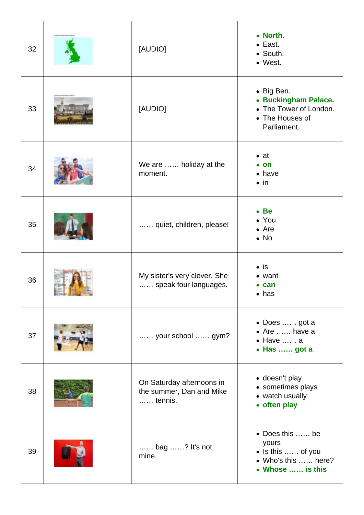| 32 | [AUDIO]                                                                   | • North.<br>$\bullet$ East.<br>• South.<br>• West.                                             |
|----|---------------------------------------------------------------------------|------------------------------------------------------------------------------------------------|
| 33 | [AUDIO]                                                                   | • Big Ben.<br>• Buckingham Palace.<br>• The Tower of London.<br>• The Houses of<br>Parliament. |
| 34 | We are  holiday at the<br>moment.                                         | $\bullet$ at<br>$\bullet$ on<br>$\bullet$ have<br>$\bullet$ in                                 |
| 35 | quiet, children, please!                                                  | • Be<br>• You<br>$\bullet$ Are<br>$\bullet$ No                                                 |
| 36 | My sister's very clever. She<br>speak four languages.                     | $\bullet$ is<br>• want<br>$\bullet$ can<br>$\bullet$ has                                       |
| 37 | your school  gym?                                                         | • Does  got a<br>$\bullet$ Are  have a<br>$\bullet$ Have  a<br>• Has  got a                    |
| 38 | On Saturday afternoons in<br>the summer, Dan and Mike<br>$\ldots$ tennis. | • doesn't play<br>• sometimes plays<br>• watch usually<br>• often play                         |
| 39 | bag ? It's not<br>mine.                                                   | • Does this  be<br>yours<br>• Is this  of you<br>• Who's this  here?<br>• Whose  is this       |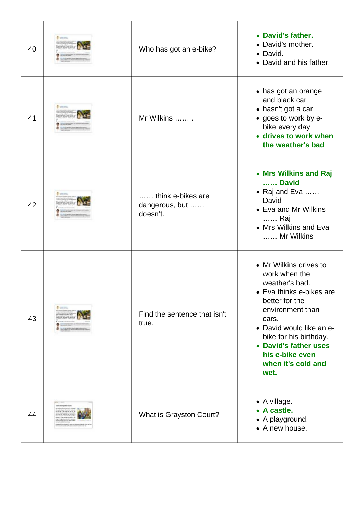| 40 | Who has got an e-bike?                          | • David's father.<br>• David's mother.<br>• David.<br>• David and his father.                                                                                                                                                                                        |
|----|-------------------------------------------------|----------------------------------------------------------------------------------------------------------------------------------------------------------------------------------------------------------------------------------------------------------------------|
| 41 | Mr Wilkins                                      | • has got an orange<br>and black car<br>• hasn't got a car<br>• goes to work by e-<br>bike every day<br>• drives to work when<br>the weather's bad                                                                                                                   |
| 42 | think e-bikes are<br>dangerous, but<br>doesn't. | • Mrs Wilkins and Raj<br>David<br>$\bullet$ Raj and Eva<br>David<br>• Eva and Mr Wilkins<br>…… Raj<br>• Mrs Wilkins and Eva<br>Mr Wilkins                                                                                                                            |
| 43 | Find the sentence that isn't<br>true.           | • Mr Wilkins drives to<br>work when the<br>weather's bad.<br>• Eva thinks e-bikes are<br>better for the<br>environment than<br>cars.<br>• David would like an e-<br>bike for his birthday.<br>• David's father uses<br>his e-bike even<br>when it's cold and<br>wet. |
| 44 | What is Grayston Court?                         | • A village.<br>• A castle.<br>• A playground.<br>• A new house.                                                                                                                                                                                                     |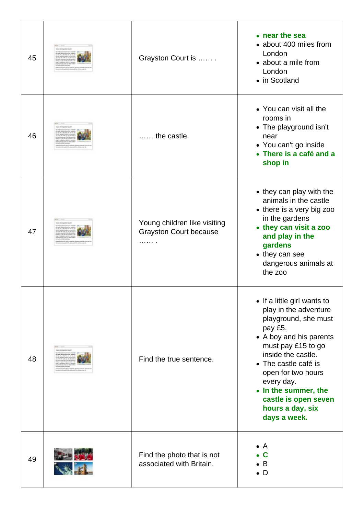| 45 | Grayston Court is                                                  | • near the sea<br>• about 400 miles from<br>London<br>• about a mile from<br>London<br>• in Scotland                                                                                                                                                                                                           |
|----|--------------------------------------------------------------------|----------------------------------------------------------------------------------------------------------------------------------------------------------------------------------------------------------------------------------------------------------------------------------------------------------------|
| 46 | the castle.                                                        | • You can visit all the<br>rooms in<br>• The playground isn't<br>near<br>• You can't go inside<br>• There is a café and a<br>shop in                                                                                                                                                                           |
| 47 | Young children like visiting<br><b>Grayston Court because</b><br>. | • they can play with the<br>animals in the castle<br>• there is a very big zoo<br>in the gardens<br>• they can visit a zoo<br>and play in the<br>gardens<br>• they can see<br>dangerous animals at<br>the zoo                                                                                                  |
| 48 | Find the true sentence.                                            | • If a little girl wants to<br>play in the adventure<br>playground, she must<br>pay £5.<br>• A boy and his parents<br>must pay £15 to go<br>inside the castle.<br>• The castle café is<br>open for two hours<br>every day.<br>• In the summer, the<br>castle is open seven<br>hours a day, six<br>days a week. |
| 49 | Find the photo that is not<br>associated with Britain.             | $\bullet$ A<br>C<br>$\bullet$ B<br>$\bullet$ D                                                                                                                                                                                                                                                                 |